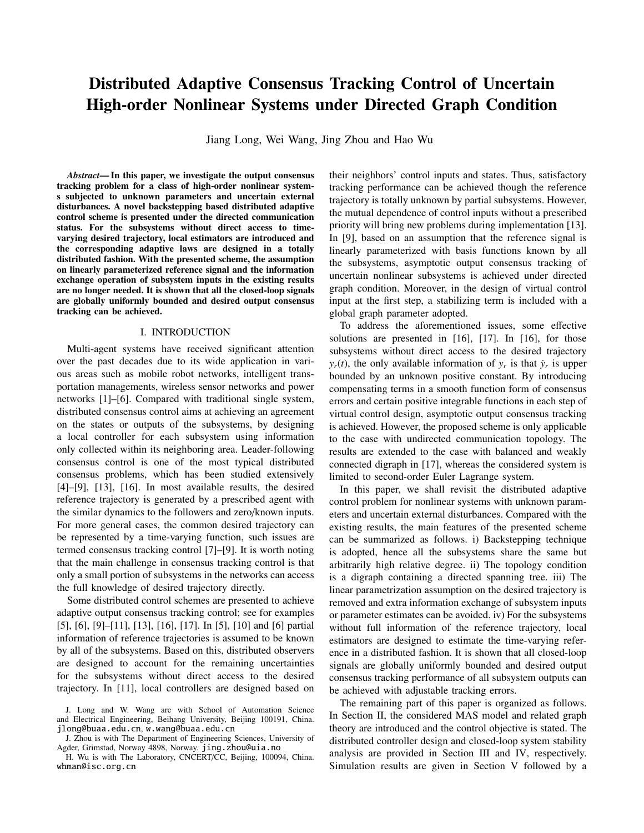# **Distributed Adaptive Consensus Tracking Control of Uncertain High-order Nonlinear Systems under Directed Graph Condition**

Jiang Long, Wei Wang, Jing Zhou and Hao Wu

*Abstract*—In this paper, we investigate the output consensus tracking problem for a class of high-order nonlinear systems subjected to unknown parameters and uncertain external disturbances. A novel backstepping based distributed adaptive control scheme is presented under the directed communication status. For the subsystems without direct access to timevarying desired trajectory, local estimators are introduced and the corresponding adaptive laws are designed in a totally distributed fashion. With the presented scheme, the assumption on linearly parameterized reference signal and the information exchange operation of subsystem inputs in the existing results are no longer needed. It is shown that all the closed-loop signals are globally uniformly bounded and desired output consensus tracking can be achieved.

#### **I. INTRODUCTION**

Multi-agent systems have received significant attention over the past decades due to its wide application in various areas such as mobile robot networks, intelligent transportation managements, wireless sensor networks and power networks [1]–[6]. Compared with traditional single system, distributed consensus control aims at achieving an agreement on the states or outputs of the subsystems, by designing a local controller for each subsystem using information only collected within its neighboring area. Leader-following consensus control is one of the most typical distributed consensus problems, which has been studied extensively  $[4]-[9]$ ,  $[13]$ ,  $[16]$ . In most available results, the desired reference trajectory is generated by a prescribed agent with the similar dynamics to the followers and zero/known inputs. For more general cases, the common desired trajectory can be represented by a time-varying function, such issues are termed consensus tracking control [7]–[9]. It is worth noting that the main challenge in consensus tracking control is that only a small portion of subsystems in the networks can access the full knowledge of desired trajectory directly.

Some distributed control schemes are presented to achieve adaptive output consensus tracking control; see for examples [5], [6], [9]-[11], [13], [16], [17]. In [5], [10] and [6] partial information of reference trajectories is assumed to be known by all of the subsystems. Based on this, distributed observers are designed to account for the remaining uncertainties for the subsystems without direct access to the desired trajectory. In [11], local controllers are designed based on

their neighbors' control inputs and states. Thus, satisfactory tracking performance can be achieved though the reference trajectory is totally unknown by partial subsystems. However, the mutual dependence of control inputs without a prescribed priority will bring new problems during implementation [13]. In [9], based on an assumption that the reference signal is linearly parameterized with basis functions known by all the subsystems, asymptotic output consensus tracking of uncertain nonlinear subsystems is achieved under directed graph condition. Moreover, in the design of virtual control input at the first step, a stabilizing term is included with a global graph parameter adopted.

To address the aforementioned issues, some effective solutions are presented in  $[16]$ ,  $[17]$ . In  $[16]$ , for those subsystems without direct access to the desired trajectory  $y_r(t)$ , the only available information of  $y_r$  is that  $\dot{y}_r$  is upper bounded by an unknown positive constant. By introducing compensating terms in a smooth function form of consensus errors and certain positive integrable functions in each step of virtual control design, asymptotic output consensus tracking is achieved. However, the proposed scheme is only applicable to the case with undirected communication topology. The results are extended to the case with balanced and weakly connected digraph in [17], whereas the considered system is limited to second-order Euler Lagrange system.

In this paper, we shall revisit the distributed adaptive control problem for nonlinear systems with unknown parameters and uncertain external disturbances. Compared with the existing results, the main features of the presented scheme can be summarized as follows. i) Backstepping technique is adopted, hence all the subsystems share the same but arbitrarily high relative degree. ii) The topology condition is a digraph containing a directed spanning tree. iii) The linear parametrization assumption on the desired trajectory is removed and extra information exchange of subsystem inputs or parameter estimates can be avoided, iv) For the subsystems without full information of the reference trajectory, local estimators are designed to estimate the time-varying reference in a distributed fashion. It is shown that all closed-loop signals are globally uniformly bounded and desired output consensus tracking performance of all subsystem outputs can be achieved with adjustable tracking errors.

The remaining part of this paper is organized as follows. In Section II, the considered MAS model and related graph theory are introduced and the control objective is stated. The distributed controller design and closed-loop system stability analysis are provided in Section III and IV, respectively. Simulation results are given in Section V followed by a

J. Long and W. Wang are with School of Automation Science and Electrical Engineering, Beihang University, Beijing 100191, China. jlong@buaa.edu.cn, w.wang@buaa.edu.cn

J. Zhou is with The Department of Engineering Sciences, University of Agder, Grimstad, Norway 4898, Norway. jing.zhou@uia.no

H. Wu is with The Laboratory, CNCERT/CC, Beijing, 100094, China. whman@isc.org.cn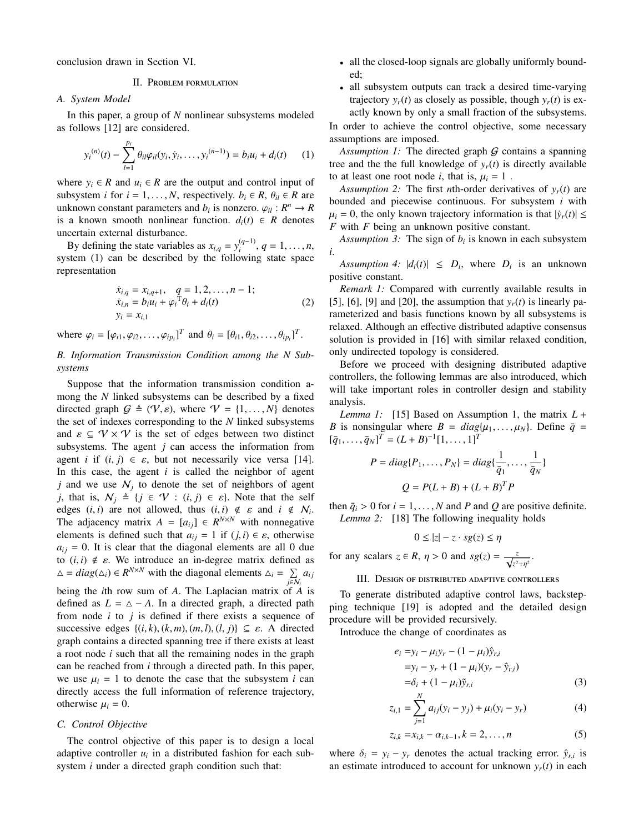conclusion drawn in Section VI.

#### **II. PROBLEM FORMULATION**

#### A. System Model

In this paper, a group of  $N$  nonlinear subsystems modeled as follows [12] are considered.

$$
y_i^{(n)}(t) - \sum_{l=1}^{p_i} \theta_{il} \varphi_{il}(y_i, \dot{y}_i, \dots, y_i^{(n-1)}) = b_i u_i + d_i(t) \qquad (1)
$$

where  $y_i \in R$  and  $u_i \in R$  are the output and control input of subsystem *i* for  $i = 1, ..., N$ , respectively.  $b_i \in R$ ,  $\theta_{il} \in R$  are unknown constant parameters and  $b_i$  is nonzero.  $\varphi_{il}: R^n \to R$ is a known smooth nonlinear function.  $d_i(t) \in R$  denotes uncertain external disturbance.

By defining the state variables as  $x_{i,q} = y_i^{(q-1)}$ ,  $q = 1, ..., n$ , system (1) can be described by the following state space representation

$$
\dot{x}_{i,q} = x_{i,q+1}, \quad q = 1, 2, ..., n-1; \n\dot{x}_{i,n} = b_i u_i + \varphi_i^{\mathrm{T}} \theta_i + d_i(t) \n y_i = x_{i,1}
$$
\n(2)

where  $\varphi_i = [\varphi_{i1}, \varphi_{i2}, \dots, \varphi_{ip_i}]^T$  and  $\theta_i = [\theta_{i1}, \theta_{i2}, \dots, \theta_{ip_i}]^T$ .

## B. Information Transmission Condition among the N Subsystems

Suppose that the information transmission condition among the N linked subsystems can be described by a fixed directed graph  $G \triangleq (V, \varepsilon)$ , where  $V = \{1, ..., N\}$  denotes the set of indexes corresponding to the  $N$  linked subsystems and  $\varepsilon \subseteq \mathcal{V} \times \mathcal{V}$  is the set of edges between two distinct subsystems. The agent  $j$  can access the information from agent *i* if  $(i, j) \in \varepsilon$ , but not necessarily vice versa [14]. In this case, the agent  $i$  is called the neighbor of agent j and we use  $N_i$  to denote the set of neighbors of agent j, that is,  $N_j \triangleq \{j \in \mathcal{V} : (i,j) \in \varepsilon\}$ . Note that the self edges  $(i, i)$  are not allowed, thus  $(i, i) \notin \varepsilon$  and  $i \notin \mathcal{N}_i$ . The adjacency matrix  $A = [a_{ij}] \in R^{N \times N}$  with nonnegative elements is defined such that  $a_{ij} = 1$  if  $(j, i) \in \varepsilon$ , otherwise  $a_{ij} = 0$ . It is clear that the diagonal elements are all 0 due to  $(i, i) \notin \varepsilon$ . We introduce an in-degree matrix defined as  $\Delta = diag(\Delta_i) \in R^{N \times N}$  with the diagonal elements  $\Delta_i = \sum a_{ij}$ being the *i*th row sum of  $A$ . The Laplacian matrix of  $\overrightarrow{A}$  is defined as  $L = \triangle - A$ . In a directed graph, a directed path from node  $i$  to  $j$  is defined if there exists a sequence of successive edges  $\{(i,k),(k,m),(m,l),(l,j)\}\subseteq \varepsilon$ . A directed graph contains a directed spanning tree if there exists at least a root node  $i$  such that all the remaining nodes in the graph can be reached from *i* through a directed path. In this paper, we use  $\mu_i = 1$  to denote the case that the subsystem i can directly access the full information of reference trajectory, otherwise  $\mu_i = 0$ .

### C. Control Objective

The control objective of this paper is to design a local adaptive controller  $u_i$  in a distributed fashion for each subsystem *i* under a directed graph condition such that:

- all the closed-loop signals are globally uniformly bounded:
- all subsystem outputs can track a desired time-varying  $\bullet$ trajectory  $y_r(t)$  as closely as possible, though  $y_r(t)$  is exactly known by only a small fraction of the subsystems.

In order to achieve the control objective, some necessary assumptions are imposed.

Assumption 1: The directed graph  $G$  contains a spanning tree and the the full knowledge of  $y_r(t)$  is directly available to at least one root node *i*, that is,  $\mu_i = 1$ .

Assumption 2: The first nth-order derivatives of  $y_r(t)$  are bounded and piecewise continuous. For subsystem  $i$  with  $\mu_i = 0$ , the only known trajectory information is that  $|\dot{y}_r(t)| \le$  $F$  with  $F$  being an unknown positive constant.

Assumption 3: The sign of  $b_i$  is known in each subsystem  $\dot{i}$ .

Assumption 4:  $|d_i(t)| \leq D_i$ , where  $D_i$  is an unknown positive constant.

Remark 1: Compared with currently available results in [5], [6], [9] and [20], the assumption that  $y_r(t)$  is linearly parameterized and basis functions known by all subsystems is relaxed. Although an effective distributed adaptive consensus solution is provided in [16] with similar relaxed condition, only undirected topology is considered.

Before we proceed with designing distributed adaptive controllers, the following lemmas are also introduced, which will take important roles in controller design and stability analysis.

*Lemma 1:* [15] Based on Assumption 1, the matrix  $L +$ B is nonsingular where  $B = diag\{\mu_1, ..., \mu_N\}$ . Define  $\bar{q} =$  $[\bar{q}_1, \ldots, \bar{q}_N]^T = (L + B)^{-1} [1, \ldots, 1]^T$ 

$$
P = diag\{P_1, ..., P_N\} = diag\{\frac{1}{\bar{q}_1}, ..., \frac{1}{\bar{q}_N}\}\
$$

$$
Q = P(L + B) + (L + B)^T P
$$

then  $\bar{q}_i > 0$  for  $i = 1, ..., N$  and P and Q are positive definite. Lemma 2: [18] The following inequality holds

$$
0 \le |z| - z \cdot sg(z) \le \eta
$$

for any scalars  $z \in R$ ,  $\eta > 0$  and  $sg(z) = \frac{z}{\sqrt{z^2 + \eta^2}}$ .

#### III. DESIGN OF DISTRIBUTED ADAPTIVE CONTROLLERS

To generate distributed adaptive control laws, backstepping technique [19] is adopted and the detailed design procedure will be provided recursively.

Introduce the change of coordinates as

$$
g_i = y_i - \mu_i y_r - (1 - \mu_i) \hat{y}_{r,i}
$$
  
=  $y_i - y_r + (1 - \mu_i) (y_r - \hat{y}_{r,i})$   
=  $\delta_i + (1 - \mu_i) \tilde{y}_{r,i}$  (3)

$$
z_{i,1} = \sum_{i=1}^{N} a_{ij}(y_i - y_j) + \mu_i(y_i - y_r)
$$
 (4)

$$
z_{i,k} = x_{i,k} - \alpha_{i,k-1}, k = 2, \dots, n
$$
 (5)

where  $\delta_i = y_i - y_r$  denotes the actual tracking error.  $\hat{y}_{r,i}$  is an estimate introduced to account for unknown  $y_r(t)$  in each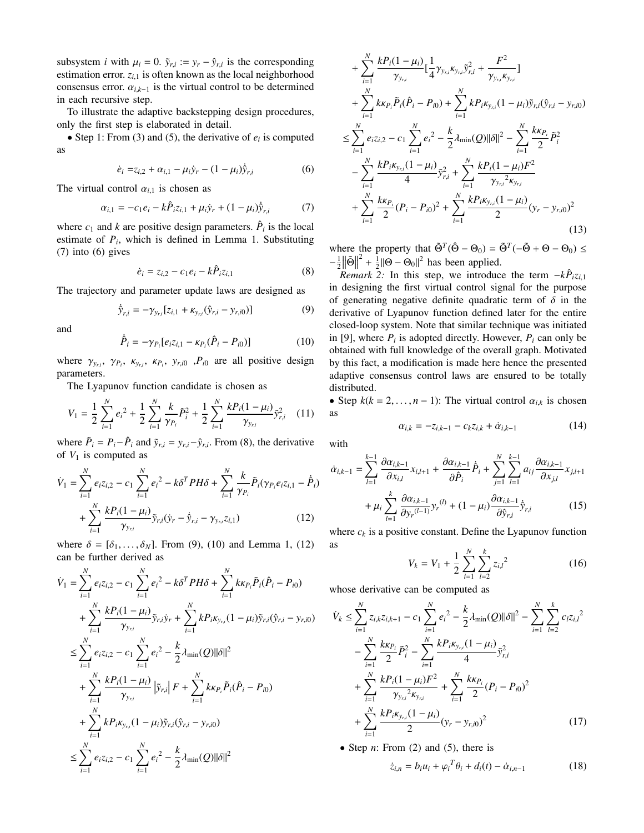subsystem *i* with  $\mu_i = 0$ .  $\tilde{y}_{r,i} := y_r - \hat{y}_{r,i}$  is the corresponding estimation error.  $z_{i,1}$  is often known as the local neighborhood consensus error.  $\alpha_{i,k-1}$  is the virtual control to be determined in each recursive step.

To illustrate the adaptive backstepping design procedures, only the first step is elaborated in detail.

• Step 1: From (3) and (5), the derivative of  $e_i$  is computed as

$$
\dot{e}_i = z_{i,2} + \alpha_{i,1} - \mu_i \dot{y}_r - (1 - \mu_i) \dot{\hat{y}}_{r,i}
$$
(6)

The virtual control  $\alpha_{i,1}$  is chosen as

$$
\alpha_{i,1} = -c_1 e_i - k \hat{P}_{i} z_{i,1} + \mu_i \dot{y}_r + (1 - \mu_i) \dot{\hat{y}}_{r,i}
$$
(7)

where  $c_1$  and k are positive design parameters.  $\hat{P}_i$  is the local estimate of  $P_i$ , which is defined in Lemma 1. Substituting  $(7)$  into  $(6)$  gives

$$
\dot{e}_i = z_{i,2} - c_1 e_i - k \hat{P}_{i} z_{i,1} \tag{8}
$$

The trajectory and parameter update laws are designed as

$$
\hat{y}_{r,i} = -\gamma_{y_{r,i}}[z_{i,1} + \kappa_{y_{r,i}}(\hat{y}_{r,i} - y_{r,i0})]
$$
(9)

and

$$
\hat{P}_i = -\gamma_{P_i} [e_i z_{i,1} - \kappa_{P_i} (\hat{P}_i - P_{i0})]
$$
 (10)

where  $\gamma_{y_{r,i}}, \gamma_{P_i}, \kappa_{y_{r,i}}, \kappa_{P_i}, \gamma_{r,i0}$ ,  $P_{i0}$  are all positive design parameters.

The Lyapunov function candidate is chosen as

$$
V_1 = \frac{1}{2} \sum_{i=1}^{N} e_i^2 + \frac{1}{2} \sum_{i=1}^{N} \frac{k}{\gamma P_i} \tilde{P}_i^2 + \frac{1}{2} \sum_{i=1}^{N} \frac{k P_i (1 - \mu_i)}{\gamma_{y_{r,i}}} \tilde{y}_{r,i}^2 \quad (11)
$$

where  $\tilde{P}_i = P_i - \hat{P}_i$  and  $\tilde{y}_{r,i} = y_{r,i} - \hat{y}_{r,i}$ . From (8), the derivative of  $V_1$  is computed as

$$
\dot{V}_{1} = \sum_{i=1}^{N} e_{i}z_{i,2} - c_{1} \sum_{i=1}^{N} e_{i}^{2} - k\delta^{T}PH\delta + \sum_{i=1}^{N} \frac{k}{\gamma_{P_{i}}} \tilde{P}_{i}(\gamma_{P_{i}}e_{i}z_{i,1} - \dot{P}_{i}) + \sum_{i=1}^{N} \frac{kP_{i}(1 - \mu_{i})}{\gamma_{y_{r,i}}} \tilde{y}_{r,i}(\dot{y}_{r} - \dot{\hat{y}}_{r,i} - \gamma_{y_{r,i}}z_{i,1})
$$
\n(12)

where  $\delta = [\delta_1, ..., \delta_N]$ . From (9), (10) and Lemma 1, (12) can be further derived as

$$
\dot{V}_{1} = \sum_{i=1}^{N} e_{i}z_{i,2} - c_{1} \sum_{i=1}^{N} e_{i}^{2} - k\delta^{T}PH\delta + \sum_{i=1}^{N} k\kappa_{P_{i}}\tilde{P}_{i}(\hat{P}_{i} - P_{i0}) \n+ \sum_{i=1}^{N} \frac{kP_{i}(1 - \mu_{i})}{\gamma_{y_{r,i}}}\tilde{y}_{r,i}\dot{y}_{r} + \sum_{i=1}^{N} kP_{i}\kappa_{y_{r,i}}(1 - \mu_{i})\tilde{y}_{r,i}(\hat{y}_{r,i} - y_{r,i0}) \n\leq \sum_{i=1}^{N} e_{i}z_{i,2} - c_{1} \sum_{i=1}^{N} e_{i}^{2} - \frac{k}{2} \lambda_{\min}(Q)||\delta||^{2} \n+ \sum_{i=1}^{N} \frac{kP_{i}(1 - \mu_{i})}{\gamma_{y_{r,i}}}\left|\tilde{y}_{r,i}\right|F + \sum_{i=1}^{N} k\kappa_{P_{i}}\tilde{P}_{i}(\hat{P}_{i} - P_{i0}) \n+ \sum_{i=1}^{N} kP_{i}\kappa_{y_{r,i}}(1 - \mu_{i})\tilde{y}_{r,i}(\hat{y}_{r,i} - y_{r,i0}) \n\leq \sum_{i=1}^{N} e_{i}z_{i,2} - c_{1} \sum_{i=1}^{N} e_{i}^{2} - \frac{k}{2} \lambda_{\min}(Q)||\delta||^{2}
$$

$$
+\sum_{i=1}^{N} \frac{kP_i(1-\mu_i)}{\gamma_{y_{r,i}}} [\frac{1}{4}\gamma_{y_{r,i}}\kappa_{y_{r,i}}\tilde{y}_{r,i}^2 + \frac{F^2}{\gamma_{y_{r,i}}\kappa_{y_{r,i}}}]
$$
  
+  $\sum_{i=1}^{N} k\kappa_{P_i}\tilde{P}_i(\hat{P}_i - P_{i0}) + \sum_{i=1}^{N} kP_i\kappa_{y_{r,i}}(1-\mu_i)\tilde{y}_{r,i}(\hat{y}_{r,i} - y_{r,i0})$   

$$
\leq \sum_{i=1}^{N} e_i z_{i,2} - c_1 \sum_{i=1}^{N} e_i^2 - \frac{k}{2} \lambda_{\min}(Q) ||\delta||^2 - \sum_{i=1}^{N} \frac{k\kappa_{P_i}}{2} \tilde{P}_i^2
$$
  
-  $\sum_{i=1}^{N} \frac{kP_i\kappa_{y_{r,i}}(1-\mu_i)}{4} \tilde{y}_{r,i}^2 + \sum_{i=1}^{N} \frac{kP_i(1-\mu_i)F^2}{\gamma_{y_{r,i}}^2 \kappa_{y_{r,i}}}$   
+  $\sum_{i=1}^{N} \frac{k\kappa_{P_i}}{2} (P_i - P_{i0})^2 + \sum_{i=1}^{N} \frac{kP_i\kappa_{y_{r,i}}(1-\mu_i)}{2} (y_r - y_{r,i0})^2$ (13)

where the property that  $\tilde{\Theta}^T(\hat{\Theta} - \Theta_0) = \tilde{\Theta}^T(-\tilde{\Theta} + \Theta - \Theta_0) \leq$  $-\frac{1}{2} ||\tilde{\Theta}||^2 + \frac{1}{2} ||\Theta - \Theta_0||^2$  has been applied.

*Remark 2:* In this step, we introduce the term  $-k\hat{P}_{i}z_{i,1}$ in designing the first virtual control signal for the purpose of generating negative definite quadratic term of  $\delta$  in the derivative of Lyapunov function defined later for the entire closed-loop system. Note that similar technique was initiated in [9], where  $P_i$  is adopted directly. However,  $P_i$  can only be obtained with full knowledge of the overall graph. Motivated by this fact, a modification is made here hence the presented adaptive consensus control laws are ensured to be totally distributed.

• Step  $k(k = 2, ..., n - 1)$ : The virtual control  $\alpha_{i,k}$  is chosen as

$$
\alpha_{i,k} = -z_{i,k-1} - c_k z_{i,k} + \dot{\alpha}_{i,k-1} \tag{14}
$$

with

$$
\dot{\alpha}_{i,k-1} = \sum_{l=1}^{k-1} \frac{\partial \alpha_{i,k-1}}{\partial x_{i,l}} x_{i,l+1} + \frac{\partial \alpha_{i,k-1}}{\partial \hat{P}_i} \dot{\hat{P}}_i + \sum_{j=1}^{N} \sum_{l=1}^{k-1} a_{ij} \frac{\partial \alpha_{i,k-1}}{\partial x_{j,l}} x_{j,l+1} + \mu_i \sum_{l=1}^{k} \frac{\partial \alpha_{i,k-1}}{\partial y_r^{(l-1)}} y_r^{(l)} + (1 - \mu_i) \frac{\partial \alpha_{i,k-1}}{\partial \hat{y}_{r,i}} \dot{\hat{y}}_{r,i}
$$
(15)

where  $c_k$  is a positive constant. Define the Lyapunov function **as** 

$$
V_k = V_1 + \frac{1}{2} \sum_{i=1}^{N} \sum_{l=2}^{k} z_{i,l}^2
$$
 (16)

whose derivative can be computed as

$$
\dot{V}_{k} \leq \sum_{i=1}^{N} z_{i,k} z_{i,k+1} - c_{1} \sum_{i=1}^{N} e_{i}^{2} - \frac{k}{2} \lambda_{\min}(Q) ||\delta||^{2} - \sum_{i=1}^{N} \sum_{l=2}^{k} c_{l} z_{i,l}^{2} - \sum_{i=1}^{N} \frac{k \kappa_{P_{i}}}{2} \tilde{P}_{i}^{2} - \sum_{i=1}^{N} \frac{k P_{i} \kappa_{y_{r,i}} (1 - \mu_{i})}{4} \tilde{y}_{r,i}^{2} + \sum_{i=1}^{N} \frac{k P_{i} (1 - \mu_{i}) F^{2}}{\gamma_{y_{r,i}}^{2} \kappa_{y_{r,i}}} + \sum_{i=1}^{N} \frac{k \kappa_{P_{i}}}{2} (P_{i} - P_{i0})^{2} + \sum_{i=1}^{N} \frac{k P_{i} \kappa_{y_{r,i}} (1 - \mu_{i})}{2} (y_{r} - y_{r,i0})^{2}
$$
(17)

• Step *n*: From (2) and (5), there is

$$
\dot{z}_{i,n} = b_i u_i + \varphi_i^T \theta_i + d_i(t) - \dot{\alpha}_{i,n-1} \tag{18}
$$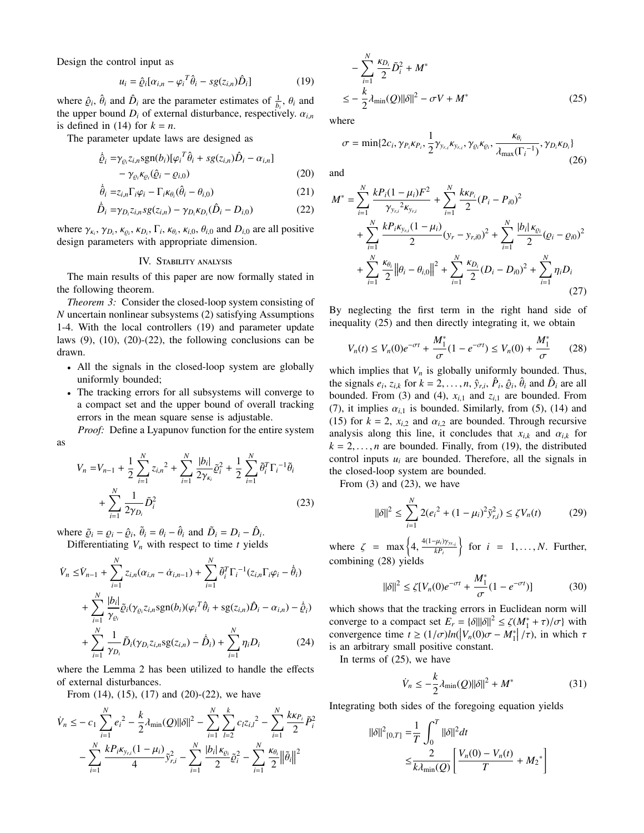Design the control input as

$$
u_i = \hat{\varrho}_i[\alpha_{i,n} - \varphi_i^T \hat{\theta}_i - sg(z_{i,n})\hat{D}_i]
$$
 (19)

where  $\hat{\varrho}_i$ ,  $\hat{\theta}_i$  and  $\hat{D}_i$  are the parameter estimates of  $\frac{1}{b}$ ,  $\theta_i$  and the upper bound  $D_i$  of external disturbance, respectively.  $\alpha_{i,n}$ is defined in (14) for  $k = n$ .

The parameter update laws are designed as

$$
\begin{aligned} \n\hat{\varrho}_i &= \gamma_{\varrho_i} z_{i,n} \text{sgn}(b_i) [\varphi_i^T \hat{\theta}_i + s g(z_{i,n}) \hat{D}_i - \alpha_{i,n}] \\ \n&\quad - \gamma_{\varrho_i} \kappa_{\varrho_i} (\hat{\varrho}_i - \varrho_{i,0}) \n\end{aligned} \tag{20}
$$

$$
\ddot{\theta}_i = z_{i,n} \Gamma_i \varphi_i - \Gamma_i \kappa_{\theta_i} (\dot{\theta}_i - \theta_{i,0})
$$
\n(21)

$$
\hat{D}_i = \gamma_{D_i} z_{i,n} s g(z_{i,n}) - \gamma_{D_i} \kappa_{D_i} (\hat{D}_i - D_{i,0})
$$
\n(22)

where  $\gamma_{\kappa_i}, \gamma_{D_i}, \kappa_{\varrho_i}, \kappa_{D_i}, \Gamma_i, \kappa_{\theta_i}, \kappa_{i,0}, \theta_{i,0}$  and  $D_{i,0}$  are all positive design parameters with appropriate dimension.

#### IV. STABILITY ANALYSIS

The main results of this paper are now formally stated in the following theorem.

*Theorem 3:* Consider the closed-loop system consisting of  $N$  uncertain nonlinear subsystems  $(2)$  satisfying Assumptions 1-4. With the local controllers (19) and parameter update laws  $(9)$ ,  $(10)$ ,  $(20)-(22)$ , the following conclusions can be drawn.

- All the signals in the closed-loop system are globally uniformly bounded;
- The tracking errors for all subsystems will converge to a compact set and the upper bound of overall tracking errors in the mean square sense is adjustable.

*Proof:* Define a Lyapunov function for the entire system as

$$
V_n = V_{n-1} + \frac{1}{2} \sum_{i=1}^N z_{i,n}^2 + \sum_{i=1}^N \frac{|b_i|}{2\gamma_{\kappa_i}} \tilde{\varrho}_i^2 + \frac{1}{2} \sum_{i=1}^N \tilde{\theta}_i^T \Gamma_i^{-1} \tilde{\theta}_i
$$
  
+ 
$$
\sum_{i=1}^N \frac{1}{2\gamma_{D_i}} \tilde{D}_i^2
$$
 (23)

where  $\tilde{\varrho}_i = \varrho_i - \hat{\varrho}_i$ ,  $\tilde{\theta}_i = \theta_i - \hat{\theta}_i$  and  $\tilde{D}_i = D_i - \hat{D}_i$ .

Differentiating  $V_n$  with respect to time t yields

$$
\dot{V}_n \leq \dot{V}_{n-1} + \sum_{i=1}^N z_{i,n} (\alpha_{i,n} - \dot{\alpha}_{i,n-1}) + \sum_{i=1}^N \tilde{\theta}_i^T \Gamma_i^{-1} (z_{i,n} \Gamma_i \varphi_i - \dot{\hat{\theta}}_i)
$$
  
+ 
$$
\sum_{i=1}^N \frac{|b_i|}{\gamma_{\varrho_i}} \tilde{\varrho}_i (\gamma_{\varrho_i} z_{i,n} \operatorname{sgn}(b_i) (\varphi_i^T \hat{\theta}_i + \operatorname{sg}(z_{i,n}) \hat{D}_i - \alpha_{i,n}) - \dot{\hat{\varrho}}_i)
$$

$$
+\sum_{i=1}^{N}\frac{1}{\gamma_{D_i}}\tilde{D}_i(\gamma_{D_i}z_{i,n}\mathrm{sg}(z_{i,n})-\dot{\hat{D}}_i)+\sum_{i=1}^{N}\eta_iD_i\hspace{1cm}(24)
$$

where the Lemma 2 has been utilized to handle the effects of external disturbances.

From  $(14)$ ,  $(15)$ ,  $(17)$  and  $(20)-(22)$ , we have

$$
\dot{V}_n \leq -c_1 \sum_{i=1}^N e_i^2 - \frac{k}{2} \lambda_{\min}(Q) ||\delta||^2 - \sum_{i=1}^N \sum_{l=2}^k c_l z_{i,l}^2 - \sum_{i=1}^N \frac{k \kappa_{P_i}}{2} \tilde{P}_i^2
$$

$$
- \sum_{i=1}^N \frac{k P_i \kappa_{y_{ri}} (1 - \mu_i)}{4} \tilde{y}_{r,i}^2 - \sum_{i=1}^N \frac{|b_i| \kappa_{\varrho_i}}{2} \tilde{\varrho}_i^2 - \sum_{i=1}^N \frac{\kappa_{\theta_i}}{2} ||\tilde{\theta}_i||^2
$$

$$
-\sum_{i=1}^{N} \frac{\kappa_{D_i}}{2} \tilde{D}_i^2 + M^*
$$
  

$$
\leq -\frac{k}{2} \lambda_{\min}(Q) ||\delta||^2 - \sigma V + M^*
$$
 (25)

where

$$
\tau = \min\{2c_i, \gamma_{P_i}K_{P_i}, \frac{1}{2}\gamma_{y_{r_i}}K_{y_{r_i}}, \gamma_{\varrho_i}K_{\varrho_i}, \frac{K_{\theta_i}}{\lambda_{\max}(\Gamma_i^{-1})}, \gamma_{D_i}K_{D_i}\}\tag{26}
$$

and

$$
M^* = \sum_{i=1}^N \frac{k P_i (1 - \mu_i) F^2}{\gamma_{y_{ri}}^2 \kappa_{y_{ri}}} + \sum_{i=1}^N \frac{k \kappa_{P_i}}{2} (P_i - P_{i0})^2
$$
  
+ 
$$
\sum_{i=1}^N \frac{k P_i \kappa_{y_{ri}} (1 - \mu_i)}{2} (\gamma_r - \gamma_{r,i0})^2 + \sum_{i=1}^N \frac{|b_i| \kappa_{Q_i}}{2} (\varrho_i - \varrho_{i0})^2
$$
  
+ 
$$
\sum_{i=1}^N \frac{\kappa_{\theta_i}}{2} ||\theta_i - \theta_{i,0}||^2 + \sum_{i=1}^N \frac{\kappa_{D_i}}{2} (D_i - D_{i0})^2 + \sum_{i=1}^N \eta_i D_i
$$
(27)

By neglecting the first term in the right hand side of inequality (25) and then directly integrating it, we obtain

$$
V_n(t) \le V_n(0)e^{-\sigma t} + \frac{M_1^*}{\sigma}(1 - e^{-\sigma t}) \le V_n(0) + \frac{M_1^*}{\sigma} \qquad (28)
$$

which implies that  $V_n$  is globally uniformly bounded. Thus, the signals  $e_i$ ,  $z_{i,k}$  for  $k = 2, ..., n$ ,  $\hat{y}_{r,i}$ ,  $\hat{P}_i$ ,  $\hat{Q}_i$ ,  $\hat{\theta}_i$  and  $\hat{D}_i$  are all bounded. From (3) and (4),  $x_{i,1}$  and  $z_{i,1}$  are bounded. From (7), it implies  $\alpha_{i,1}$  is bounded. Similarly, from (5), (14) and (15) for  $k = 2$ ,  $x_{i,2}$  and  $\alpha_{i,2}$  are bounded. Through recursive analysis along this line, it concludes that  $x_{i,k}$  and  $\alpha_{i,k}$  for  $k = 2, \ldots, n$  are bounded. Finally, from (19), the distributed control inputs  $u_i$  are bounded. Therefore, all the signals in the closed-loop system are bounded.

From  $(3)$  and  $(23)$ , we have

$$
\|\delta\|^2 \le \sum_{i=1}^N 2(e_i^2 + (1 - \mu_i)^2 \tilde{y}_{r,i}^2) \le \zeta V_n(t) \tag{29}
$$

where  $\zeta = \max\left\{4, \frac{4(1-\mu_i)\gamma_{y_{r_i}}}{kP_i}\right\}$  for  $i = 1, ..., N$ . Further, combining (28) yields

$$
||\delta||^2 \le \zeta [V_n(0)e^{-\sigma t} + \frac{M_1^*}{\sigma} (1 - e^{-\sigma t})]
$$
 (30)

which shows that the tracking errors in Euclidean norm will converge to a compact set  $E_r = {\delta ||\delta||}^2 \le \zeta(M_1^* + \tau)/\sigma$  with convergence time  $t \ge (1/\sigma)ln(|V_n(0)\sigma - M_1^*|/\tau)$ , in which  $\tau$ is an arbitrary small positive constant.

In terms of  $(25)$ , we have

$$
\dot{V}_n \le -\frac{k}{2} \lambda_{\min}(Q) ||\delta||^2 + M^* \tag{31}
$$

Integrating both sides of the foregoing equation yields

$$
\|\delta\|^2_{[0,T]} = \frac{1}{T} \int_0^T \|\delta\|^2 dt
$$
  
 
$$
\leq \frac{2}{k\lambda_{\min}(Q)} \left[ \frac{V_n(0) - V_n(t)}{T} + M_2^* \right]
$$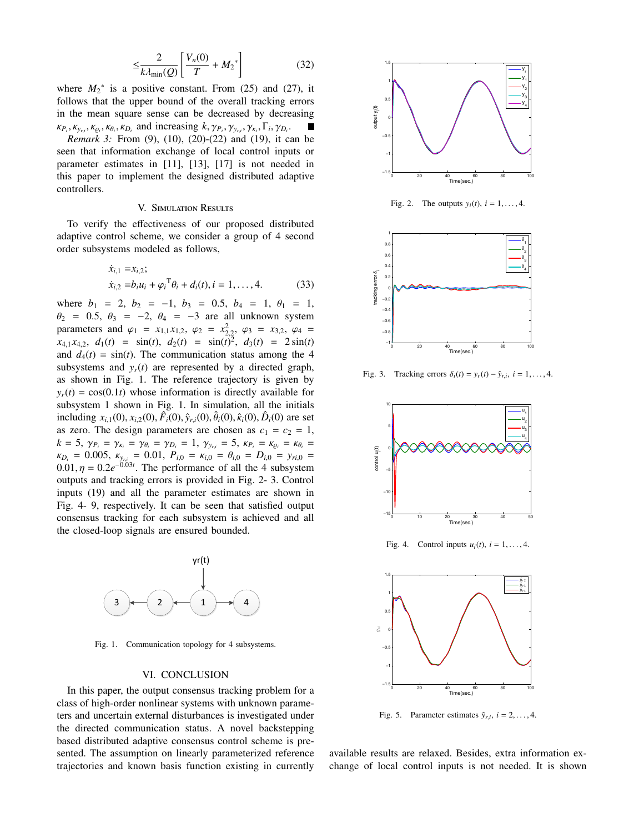$$
\leq \frac{2}{k\lambda_{\min}(Q)} \left[ \frac{V_n(0)}{T} + M_2^* \right] \tag{32}
$$

where  $M_2^*$  is a positive constant. From (25) and (27), it follows that the upper bound of the overall tracking errors in the mean square sense can be decreased by decreasing  $\kappa_{P_i}, \kappa_{v_i}, \kappa_{o_i}, \kappa_{\theta_i}, \kappa_{D_i}$  and increasing  $k, \gamma_{P_i}, \gamma_{v_i}, \gamma_{\kappa_i}, \Gamma_i, \gamma_{D_i}$ .

Remark 3: From (9), (10), (20)-(22) and (19), it can be seen that information exchange of local control inputs or parameter estimates in [11], [13], [17] is not needed in this paper to implement the designed distributed adaptive controllers.

### V. SIMULATION RESULTS

To verify the effectiveness of our proposed distributed adaptive control scheme, we consider a group of 4 second order subsystems modeled as follows,

$$
\dot{x}_{i,1} = x_{i,2};
$$
\n
$$
\dot{x}_{i,2} = b_i u_i + \varphi_i^{\mathrm{T}} \theta_i + d_i(t), i = 1, ..., 4.
$$
\n(33)

where  $b_1 = 2$ ,  $b_2 = -1$ ,  $b_3 = 0.5$ ,  $b_4 = 1$ ,  $\theta_1 = 1$ ,  $\theta_2$  = 0.5,  $\theta_3$  = -2,  $\theta_4$  = -3 are all unknown system parameters and  $\varphi_1 = x_{1,1}x_{1,2}, \varphi_2 = x_{2,2}^2, \varphi_3 = x_{3,2}, \varphi_4 =$  $x_{4,1}x_{4,2}, d_1(t) = \sin(t), d_2(t) = \sin(t)^2, d_3(t) = 2\sin(t)$ and  $d_4(t) = \sin(t)$ . The communication status among the 4 subsystems and  $y_r(t)$  are represented by a directed graph, as shown in Fig. 1. The reference trajectory is given by  $y_r(t) = \cos(0.1t)$  whose information is directly available for subsystem 1 shown in Fig. 1. In simulation, all the initials including  $x_{i,1}(0)$ ,  $x_{i,2}(0)$ ,  $\hat{F}_i(0)$ ,  $\hat{y}_{ri}(0)$ ,  $\hat{\theta}_i(0)$ ,  $\hat{\kappa}_i(0)$ ,  $\hat{D}_i(0)$  are set as zero. The design parameters are chosen as  $c_1 = c_2 = 1$ ,  $k = 5$ ,  $\gamma_{P_i} = \gamma_{\kappa_i} = \gamma_{\theta_i} = \gamma_{D_i} = 1$ ,  $\gamma_{y_{r,i}} = 5$ ,  $\kappa_{P_i} = \kappa_{\theta_i} = \kappa_{\theta_i} = \kappa_{D_i} = 0.005$ ,  $\kappa_{y_{r,i}} = 0.01$ ,  $P_{i,0} = \kappa_{i,0} = \theta_{i,0} = D_{i,0} = y_{ri,0} = 0.01$ ,  $\eta = 0.2e^{-0.03t}$ . The performance of all the 4 sub outputs and tracking errors is provided in Fig. 2- 3. Control inputs (19) and all the parameter estimates are shown in Fig. 4- 9, respectively. It can be seen that satisfied output consensus tracking for each subsystem is achieved and all the closed-loop signals are ensured bounded.



Fig. 1. Communication topology for 4 subsystems.

#### VI. CONCLUSION

In this paper, the output consensus tracking problem for a class of high-order nonlinear systems with unknown parameters and uncertain external disturbances is investigated under the directed communication status. A novel backstepping based distributed adaptive consensus control scheme is presented. The assumption on linearly parameterized reference trajectories and known basis function existing in currently



Fig. 2. The outputs  $y_i(t)$ ,  $i = 1, \ldots, 4$ .



Fig. 3. Tracking errors  $\delta_i(t) = y_r(t) - \hat{y}_{r,i}, i = 1, \dots, 4$ .



Fig. 4. Control inputs  $u_i(t)$ ,  $i = 1, \ldots, 4$ .



Fig. 5. Parameter estimates  $\hat{y}_{r,i}$ ,  $i = 2, ..., 4$ .

available results are relaxed. Besides, extra information exchange of local control inputs is not needed. It is shown